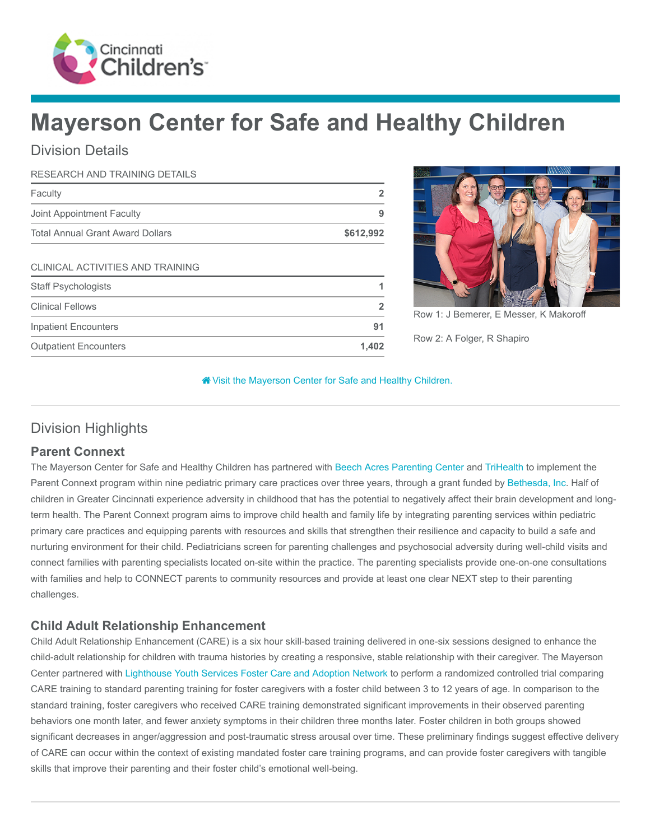

# Mayerson Center for Safe and Healthy Children

## Division Details

#### RESEARCH AND TRAINING DETAILS

| Faculty                                 |           |
|-----------------------------------------|-----------|
| Joint Appointment Faculty               |           |
| <b>Total Annual Grant Award Dollars</b> | \$612,992 |

#### CLINICAL ACTIVITIES AND TRAINING

| <b>Staff Psychologists</b>   |                |
|------------------------------|----------------|
| <b>Clinical Fellows</b>      | $\overline{2}$ |
| <b>Inpatient Encounters</b>  |                |
| <b>Outpatient Encounters</b> | 1.402          |



Row 1: J Bemerer, E Messer, K Makoroff Row 2: A Folger, R Shapiro

#### [Visit the Mayerson Center for Safe and Healthy Children.](https://www.cincinnatichildrens.org/research/divisions/m/mayerson)

## Division Highlights

### Parent Connext

The Mayerson Center for Safe and Healthy Children has partnered with [Beech Acres Parenting Center](https://beechacres.org/) and [TriHealth](https://www.trihealth.com/) to implement the Parent Connext program within nine pediatric primary care practices over three years, through a grant funded by [Bethesda, Inc](https://www.bethesda-inc.org/). Half of children in Greater Cincinnati experience adversity in childhood that has the potential to negatively affect their brain development and longterm health. The Parent Connext program aims to improve child health and family life by integrating parenting services within pediatric primary care practices and equipping parents with resources and skills that strengthen their resilience and capacity to build a safe and nurturing environment for their child. Pediatricians screen for parenting challenges and psychosocial adversity during well-child visits and connect families with parenting specialists located on-site within the practice. The parenting specialists provide one-on-one consultations with families and help to CONNECT parents to community resources and provide at least one clear NEXT step to their parenting challenges.

### Child Adult Relationship Enhancement

Child Adult Relationship Enhancement (CARE) is a six hour skill-based training delivered in one-six sessions designed to enhance the child-adult relationship for children with trauma histories by creating a responsive, stable relationship with their caregiver. The Mayerson Center partnered with [Lighthouse Youth Services Foster Care and Adoption Network](https://www.lys.org/services/foster-care-and-adoption/) to perform a randomized controlled trial comparing CARE training to standard parenting training for foster caregivers with a foster child between 3 to 12 years of age. In comparison to the standard training, foster caregivers who received CARE training demonstrated significant improvements in their observed parenting behaviors one month later, and fewer anxiety symptoms in their children three months later. Foster children in both groups showed significant decreases in anger/aggression and post-traumatic stress arousal over time. These preliminary findings suggest effective delivery of CARE can occur within the context of existing mandated foster care training programs, and can provide foster caregivers with tangible skills that improve their parenting and their foster child's emotional well-being.